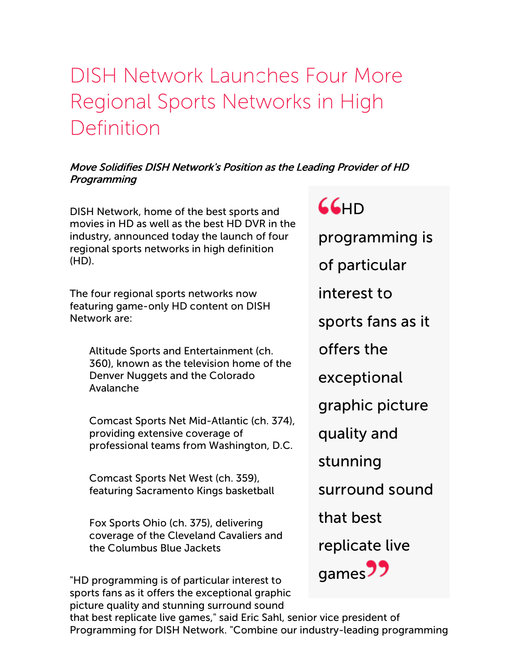# DISH Network Launches Four More Regional Sports Networks in High Definition

#### Move Solidifies DISH Network's Position as the Leading Provider of HD **Programming**

DISH Network, home of the best sports and movies in HD as well as the best HD DVR in the industry, announced today the launch of four regional sports networks in high definition (HD).

The four regional sports networks now featuring game-only HD content on DISH Network are:

Altitude Sports and Entertainment (ch. 360), known as the television home of the Denver Nuggets and the Colorado Avalanche

Comcast Sports Net Mid-Atlantic (ch. 374), providing extensive coverage of professional teams from Washington, D.C.

Comcast Sports Net West (ch. 359), featuring Sacramento Kings basketball

Fox Sports Ohio (ch. 375), delivering coverage of the Cleveland Cavaliers and the Columbus Blue Jackets

"HD programming is of particular interest to sports fans as it offers the exceptional graphic picture quality and stunning surround sound

# $66H$

programming is

of particular

interest to

sports fans as it

offers the

exceptional

graphic picture

quality and

stunning

surround sound

that best

replicate live



that best replicate live games," said Eric Sahl, senior vice president of Programming for DISH Network. "Combine our industry-leading programming